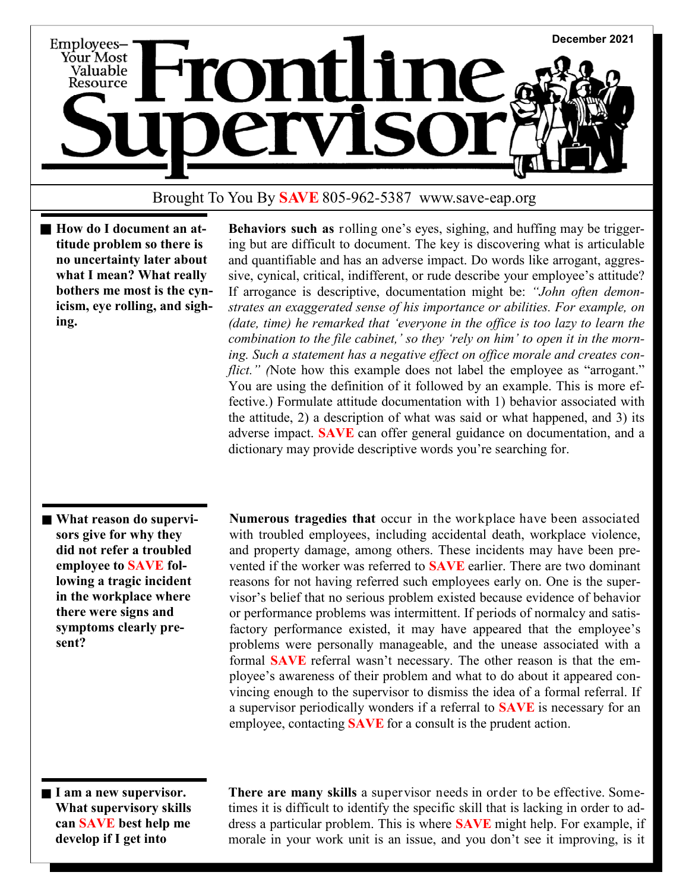

## Brought To You By **SAVE** 805-962-5387 www.save-eap.org

■ How do I document an at**titude problem so there is no uncertainty later about what I mean? What really bothers me most is the cynicism, eye rolling, and sighing.**

 **Behaviors such as** rolling one's eyes, sighing, and huffing may be triggering but are difficult to document. The key is discovering what is articulable and quantifiable and has an adverse impact. Do words like arrogant, aggressive, cynical, critical, indifferent, or rude describe your employee's attitude? If arrogance is descriptive, documentation might be: *"John often demonstrates an exaggerated sense of his importance or abilities. For example, on (date, time) he remarked that 'everyone in the office is too lazy to learn the combination to the file cabinet,' so they 'rely on him' to open it in the morning. Such a statement has a negative effect on office morale and creates conflict.*" (Note how this example does not label the employee as "arrogant." You are using the definition of it followed by an example. This is more effective.) Formulate attitude documentation with 1) behavior associated with the attitude, 2) a description of what was said or what happened, and 3) its adverse impact. **SAVE** can offer general guidance on documentation, and a dictionary may provide descriptive words you're searching for.

**What reason do supervisors give for why they did not refer a troubled employee to SAVE following a tragic incident in the workplace where there were signs and symptoms clearly present?**

 **Numerous tragedies that** occur in the workplace have been associated with troubled employees, including accidental death, workplace violence, and property damage, among others. These incidents may have been prevented if the worker was referred to **SAVE** earlier. There are two dominant reasons for not having referred such employees early on. One is the supervisor's belief that no serious problem existed because evidence of behavior or performance problems was intermittent. If periods of normalcy and satisfactory performance existed, it may have appeared that the employee's problems were personally manageable, and the unease associated with a formal **SAVE** referral wasn't necessary. The other reason is that the employee's awareness of their problem and what to do about it appeared convincing enough to the supervisor to dismiss the idea of a formal referral. If a supervisor periodically wonders if a referral to **SAVE** is necessary for an employee, contacting **SAVE** for a consult is the prudent action.

**I am a new supervisor. What supervisory skills can SAVE best help me develop if I get into** 

 **There are many skills** a supervisor needs in order to be effective. Sometimes it is difficult to identify the specific skill that is lacking in order to address a particular problem. This is where **SAVE** might help. For example, if morale in your work unit is an issue, and you don't see it improving, is it